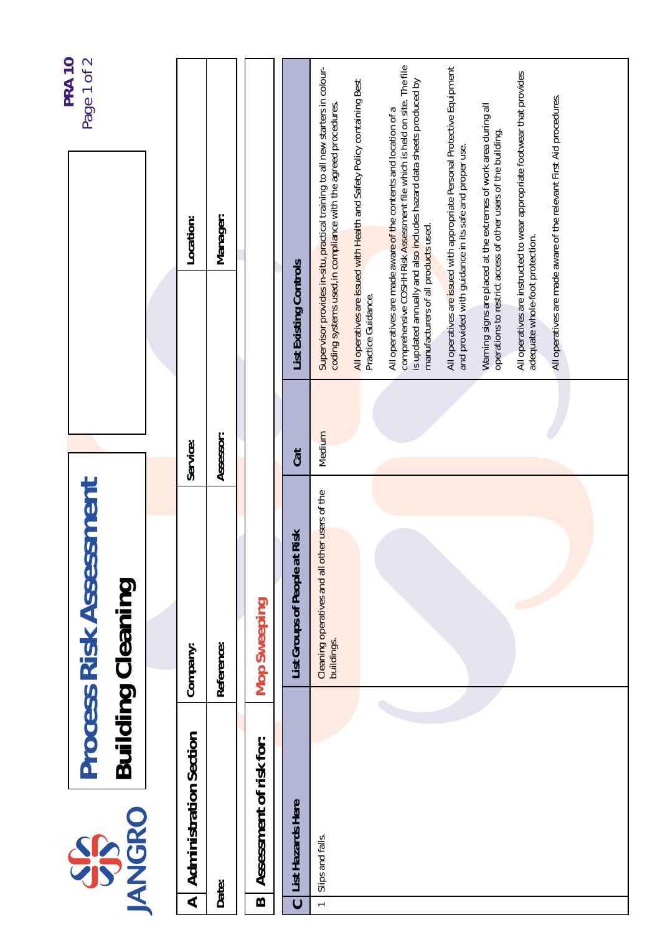|                       |                               |                                                              |           |                                     | <b>PRA 10</b>                                                                                                                                                                                                       |  |
|-----------------------|-------------------------------|--------------------------------------------------------------|-----------|-------------------------------------|---------------------------------------------------------------------------------------------------------------------------------------------------------------------------------------------------------------------|--|
|                       | <b>JANGRO</b><br>SS           | <b>Process Risk Assessment</b><br><b>Building Cleaning</b>   |           |                                     | Page 1 of 2                                                                                                                                                                                                         |  |
|                       |                               |                                                              |           |                                     |                                                                                                                                                                                                                     |  |
| ⋖                     | <b>Administration Section</b> | Company:                                                     | Service:  |                                     | Location:                                                                                                                                                                                                           |  |
|                       | Date:                         | Reference:                                                   | Assessor: |                                     | Manager:                                                                                                                                                                                                            |  |
| $\boldsymbol{\omega}$ | Assessment of risk for:       | <b>Mop Sweeping</b>                                          |           |                                     |                                                                                                                                                                                                                     |  |
| $\mathbf C$           | List Hazards Here             | Risk<br>List Groups of People at                             | Cat       | <b>List Existing Controls</b>       |                                                                                                                                                                                                                     |  |
| $\leftarrow$          | Slips and falls.              | Cleaning operatives and all other users of the<br>buildings. | Medium    |                                     | Supervisor provides in-situ, practical training to all new starters in colour-<br>coding systems used, in compliance with the agreed procedures.                                                                    |  |
|                       |                               |                                                              |           | Practice Guidance.                  | All operatives are issued with Health and Safety Policy containing Best                                                                                                                                             |  |
|                       |                               |                                                              |           | manufacturers of all products used. | comprehensive COSHH Risk Assessment file which is held on site. The file<br>is updated annually and also includes hazard data sheets produced by<br>All operatives are made aware of the contents and location of a |  |
|                       |                               |                                                              |           |                                     | All operatives are issued with appropriate Personal Protective Equipment<br>and provided with guidance in its safe and proper use.                                                                                  |  |
|                       |                               |                                                              |           |                                     | Warning signs are placed at the extremes of work area during all<br>operations to restrict access of other users of the building.                                                                                   |  |
|                       |                               |                                                              |           | adequate whole-foot protection.     | All operatives are instructed to wear appropriate footwear that provides                                                                                                                                            |  |
|                       |                               |                                                              |           |                                     | All operatives are made aware of the relevant First Aid procedures.                                                                                                                                                 |  |
|                       |                               |                                                              |           |                                     |                                                                                                                                                                                                                     |  |